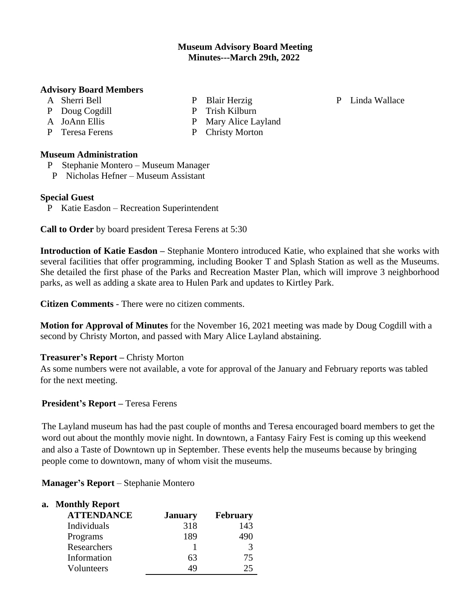### **Museum Advisory Board Meeting Minutes---March 29th, 2022**

#### **Advisory Board Members**

- A Sherri Bell
- P Doug Cogdill
- A JoAnn Ellis
- P Teresa Ferens

P Blair Herzig P Trish Kilburn

- P Linda Wallace
- P Mary Alice Layland P Christy Morton

### **Museum Administration**

- P Stephanie Montero Museum Manager
- P Nicholas Hefner Museum Assistant

### **Special Guest**

P Katie Easdon – Recreation Superintendent

**Call to Order** by board president Teresa Ferens at 5:30

**Introduction of Katie Easdon –** Stephanie Montero introduced Katie, who explained that she works with several facilities that offer programming, including Booker T and Splash Station as well as the Museums. She detailed the first phase of the Parks and Recreation Master Plan, which will improve 3 neighborhood parks, as well as adding a skate area to Hulen Park and updates to Kirtley Park.

**Citizen Comments** - There were no citizen comments.

**Motion for Approval of Minutes** for the November 16, 2021 meeting was made by Doug Cogdill with a second by Christy Morton, and passed with Mary Alice Layland abstaining.

# **Treasurer's Report –** Christy Morton

As some numbers were not available, a vote for approval of the January and February reports was tabled for the next meeting.

# **President's Report –** Teresa Ferens

The Layland museum has had the past couple of months and Teresa encouraged board members to get the word out about the monthly movie night. In downtown, a Fantasy Fairy Fest is coming up this weekend and also a Taste of Downtown up in September. These events help the museums because by bringing people come to downtown, many of whom visit the museums.

**Manager's Report** – Stephanie Montero

# **a. Monthly Report**

| <b>ATTENDANCE</b> | <b>January</b> | <b>February</b> |
|-------------------|----------------|-----------------|
| Individuals       | 318            | 143             |
| Programs          | 189            | 490             |
| Researchers       |                | 3               |
| Information       | 63             | 75              |
| Volunteers        | 49             | 25              |